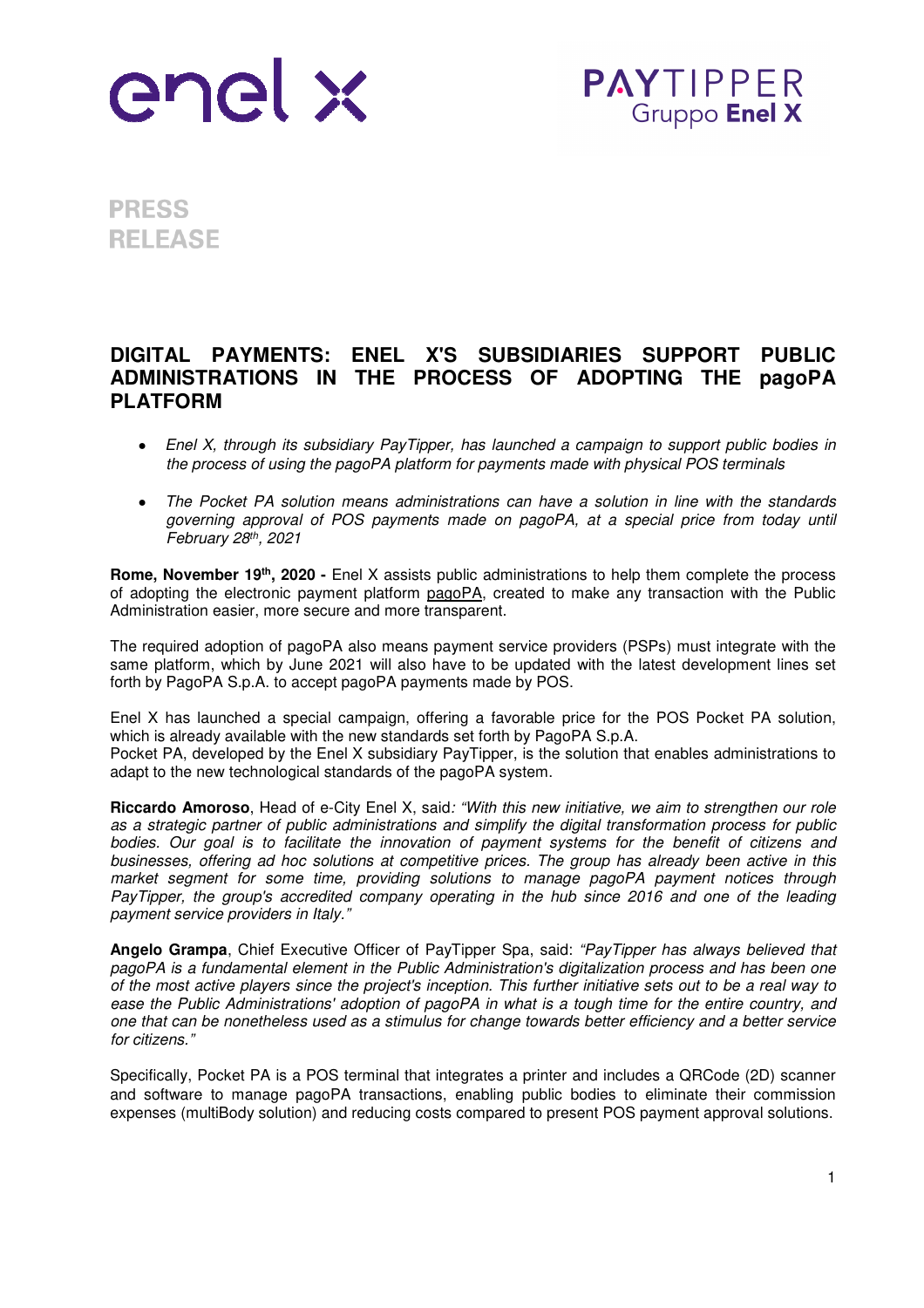

**PAYTIPPER** Gruppo Enel X

**PRESS RELEASE** 

## **DIGITAL PAYMENTS: ENEL X'S SUBSIDIARIES SUPPORT PUBLIC ADMINISTRATIONS IN THE PROCESS OF ADOPTING THE pagoPA PLATFORM**

- *Enel X, through its subsidiary PayTipper, has launched a campaign to support public bodies in the process of using the pagoPA platform for payments made with physical POS terminals*
- *The Pocket PA solution means administrations can have a solution in line with the standards governing approval of POS payments made on pagoPA, at a special price from today until February 28th, 2021*

**Rome, November 19th, 2020 -** Enel X assists public administrations to help them complete the process of adopting the electronic payment platform pagoPA, created to make any transaction with the Public Administration easier, more secure and more transparent.

The required adoption of pagoPA also means payment service providers (PSPs) must integrate with the same platform, which by June 2021 will also have to be updated with the latest development lines set forth by PagoPA S.p.A. to accept pagoPA payments made by POS.

Enel X has launched a special campaign, offering a favorable price for the POS Pocket PA solution, which is already available with the new standards set forth by PagoPA S.p.A. Pocket PA, developed by the Enel X subsidiary PayTipper, is the solution that enables administrations to

adapt to the new technological standards of the pagoPA system.

**Riccardo Amoroso**, Head of e-City Enel X, said*: "With this new initiative, we aim to strengthen our role as a strategic partner of public administrations and simplify the digital transformation process for public bodies. Our goal is to facilitate the innovation of payment systems for the benefit of citizens and businesses, offering ad hoc solutions at competitive prices. The group has already been active in this market segment for some time, providing solutions to manage pagoPA payment notices through PayTipper, the group's accredited company operating in the hub since 2016 and one of the leading payment service providers in Italy."* 

**Angelo Grampa**, Chief Executive Officer of PayTipper Spa, said: *"PayTipper has always believed that pagoPA is a fundamental element in the Public Administration's digitalization process and has been one of the most active players since the project's inception. This further initiative sets out to be a real way to ease the Public Administrations' adoption of pagoPA in what is a tough time for the entire country, and one that can be nonetheless used as a stimulus for change towards better efficiency and a better service for citizens."* 

Specifically, Pocket PA is a POS terminal that integrates a printer and includes a QRCode (2D) scanner and software to manage pagoPA transactions, enabling public bodies to eliminate their commission expenses (multiBody solution) and reducing costs compared to present POS payment approval solutions.